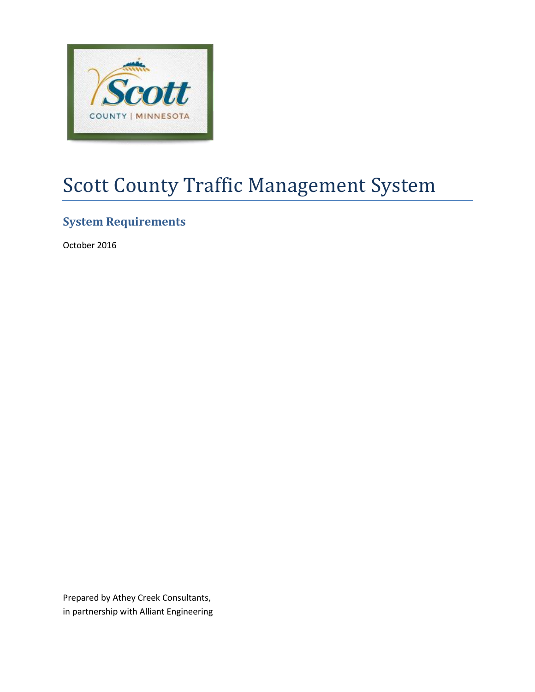

# Scott County Traffic Management System

# **System Requirements**

October 2016

Prepared by Athey Creek Consultants, in partnership with Alliant Engineering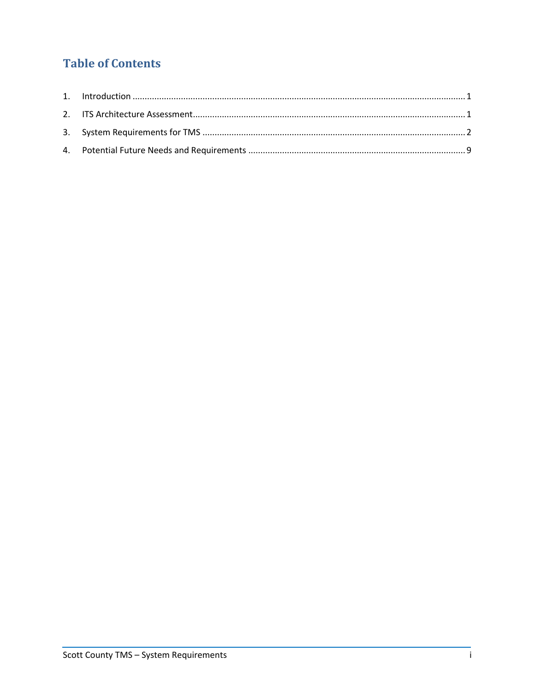# **Table of Contents**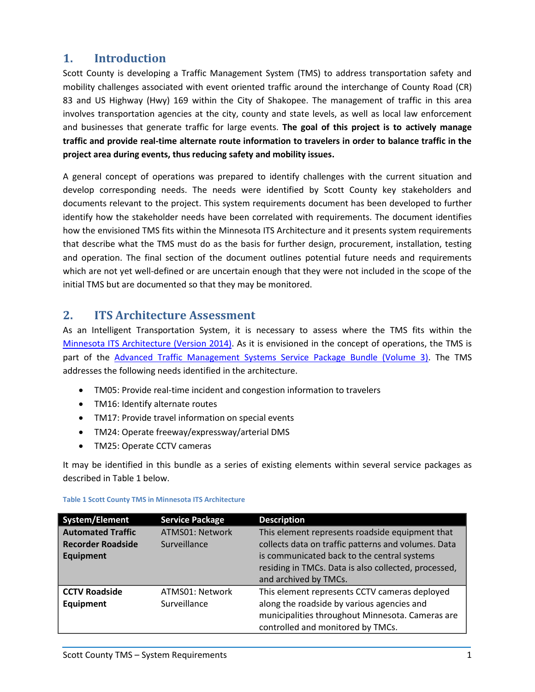## <span id="page-2-0"></span>**1. Introduction**

Scott County is developing a Traffic Management System (TMS) to address transportation safety and mobility challenges associated with event oriented traffic around the interchange of County Road (CR) 83 and US Highway (Hwy) 169 within the City of Shakopee. The management of traffic in this area involves transportation agencies at the city, county and state levels, as well as local law enforcement and businesses that generate traffic for large events. **The goal of this project is to actively manage traffic and provide real-time alternate route information to travelers in order to balance traffic in the project area during events, thus reducing safety and mobility issues.**

A general concept of operations was prepared to identify challenges with the current situation and develop corresponding needs. The needs were identified by Scott County key stakeholders and documents relevant to the project. This system requirements document has been developed to further identify how the stakeholder needs have been correlated with requirements. The document identifies how the envisioned TMS fits within the Minnesota ITS Architecture and it presents system requirements that describe what the TMS must do as the basis for further design, procurement, installation, testing and operation. The final section of the document outlines potential future needs and requirements which are not yet well-defined or are uncertain enough that they were not included in the scope of the initial TMS but are documented so that they may be monitored.

### <span id="page-2-1"></span>**2. ITS Architecture Assessment**

As an Intelligent Transportation System, it is necessary to assess where the TMS fits within the [Minnesota ITS Architecture \(Version 2014\).](http://www.dot.state.mn.us/its/projects/2006-2010/mnitsarchitecture.html) As it is envisioned in the concept of operations, the TMS is part of the [Advanced Traffic Management Systems Service Package Bundle \(Volume 3\).](http://www.dot.state.mn.us/its/projects/2006-2010/mnitsarchitecture/itsarchitecturevol3ATMS.pdf) The TMS addresses the following needs identified in the architecture.

- TM05: Provide real-time incident and congestion information to travelers
- TM16: Identify alternate routes
- TM17: Provide travel information on special events
- TM24: Operate freeway/expressway/arterial DMS
- TM25: Operate CCTV cameras

It may be identified in this bundle as a series of existing elements within several service packages as described in Table 1 below.

| System/Element           | <b>Service Package</b> | <b>Description</b>                                   |
|--------------------------|------------------------|------------------------------------------------------|
| <b>Automated Traffic</b> | ATMS01: Network        | This element represents roadside equipment that      |
| <b>Recorder Roadside</b> | Surveillance           | collects data on traffic patterns and volumes. Data  |
| <b>Equipment</b>         |                        | is communicated back to the central systems          |
|                          |                        | residing in TMCs. Data is also collected, processed, |
|                          |                        | and archived by TMCs.                                |
| <b>CCTV Roadside</b>     | ATMS01: Network        | This element represents CCTV cameras deployed        |
| Equipment                | Surveillance           | along the roadside by various agencies and           |
|                          |                        | municipalities throughout Minnesota. Cameras are     |
|                          |                        | controlled and monitored by TMCs.                    |

#### **Table 1 Scott County TMS in Minnesota ITS Architecture**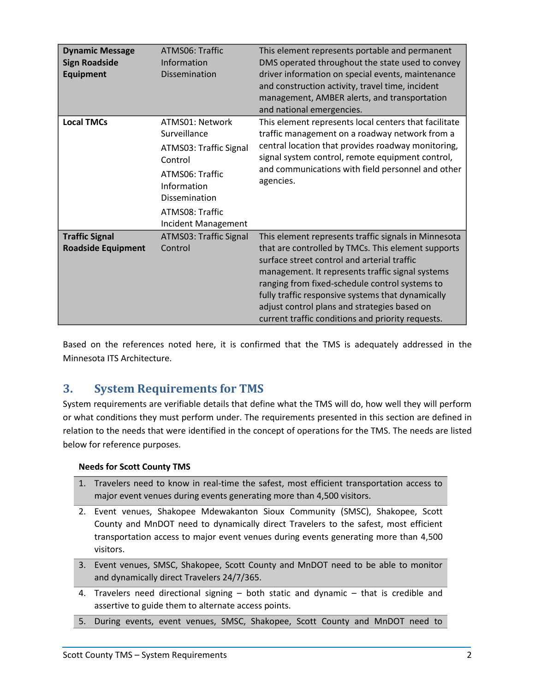| <b>Dynamic Message</b><br><b>Sign Roadside</b><br><b>Equipment</b> | ATMS06: Traffic<br>Information<br>Dissemination                                                                                                                   | This element represents portable and permanent<br>DMS operated throughout the state used to convey<br>driver information on special events, maintenance<br>and construction activity, travel time, incident<br>management, AMBER alerts, and transportation<br>and national emergencies.                                                                                                                                  |
|--------------------------------------------------------------------|-------------------------------------------------------------------------------------------------------------------------------------------------------------------|---------------------------------------------------------------------------------------------------------------------------------------------------------------------------------------------------------------------------------------------------------------------------------------------------------------------------------------------------------------------------------------------------------------------------|
| <b>Local TMCs</b>                                                  | ATMS01: Network<br>Surveillance<br>ATMS03: Traffic Signal<br>Control<br>ATMS06: Traffic<br>Information<br>Dissemination<br>ATMS08: Traffic<br>Incident Management | This element represents local centers that facilitate<br>traffic management on a roadway network from a<br>central location that provides roadway monitoring,<br>signal system control, remote equipment control,<br>and communications with field personnel and other<br>agencies.                                                                                                                                       |
| <b>Traffic Signal</b><br><b>Roadside Equipment</b>                 | <b>ATMS03: Traffic Signal</b><br>Control                                                                                                                          | This element represents traffic signals in Minnesota<br>that are controlled by TMCs. This element supports<br>surface street control and arterial traffic<br>management. It represents traffic signal systems<br>ranging from fixed-schedule control systems to<br>fully traffic responsive systems that dynamically<br>adjust control plans and strategies based on<br>current traffic conditions and priority requests. |

Based on the references noted here, it is confirmed that the TMS is adequately addressed in the Minnesota ITS Architecture.

## <span id="page-3-0"></span>**3. System Requirements for TMS**

System requirements are verifiable details that define what the TMS will do, how well they will perform or what conditions they must perform under. The requirements presented in this section are defined in relation to the needs that were identified in the concept of operations for the TMS. The needs are listed below for reference purposes.

#### **Needs for Scott County TMS**

- 1. Travelers need to know in real-time the safest, most efficient transportation access to major event venues during events generating more than 4,500 visitors.
- 2. Event venues, Shakopee Mdewakanton Sioux Community (SMSC), Shakopee, Scott County and MnDOT need to dynamically direct Travelers to the safest, most efficient transportation access to major event venues during events generating more than 4,500 visitors.
- 3. Event venues, SMSC, Shakopee, Scott County and MnDOT need to be able to monitor and dynamically direct Travelers 24/7/365.
- 4. Travelers need directional signing both static and dynamic that is credible and assertive to guide them to alternate access points.
- 5. During events, event venues, SMSC, Shakopee, Scott County and MnDOT need to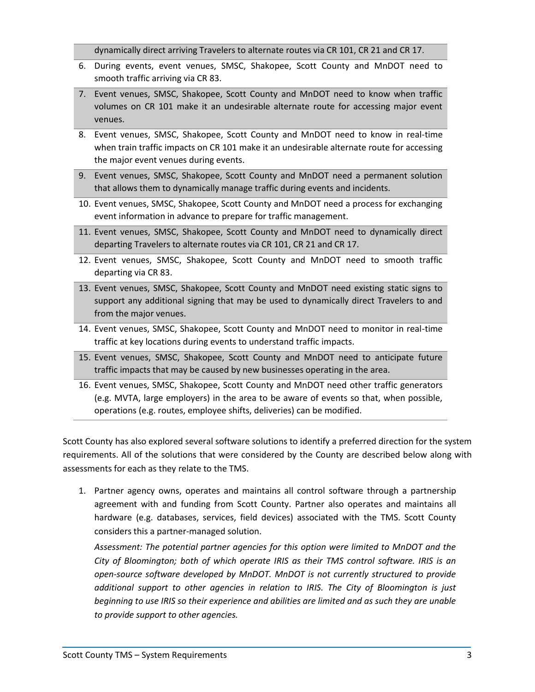dynamically direct arriving Travelers to alternate routes via CR 101, CR 21 and CR 17.

- 6. During events, event venues, SMSC, Shakopee, Scott County and MnDOT need to smooth traffic arriving via CR 83.
- 7. Event venues, SMSC, Shakopee, Scott County and MnDOT need to know when traffic volumes on CR 101 make it an undesirable alternate route for accessing major event venues.
- 8. Event venues, SMSC, Shakopee, Scott County and MnDOT need to know in real-time when train traffic impacts on CR 101 make it an undesirable alternate route for accessing the major event venues during events.
- 9. Event venues, SMSC, Shakopee, Scott County and MnDOT need a permanent solution that allows them to dynamically manage traffic during events and incidents.
- 10. Event venues, SMSC, Shakopee, Scott County and MnDOT need a process for exchanging event information in advance to prepare for traffic management.
- 11. Event venues, SMSC, Shakopee, Scott County and MnDOT need to dynamically direct departing Travelers to alternate routes via CR 101, CR 21 and CR 17.
- 12. Event venues, SMSC, Shakopee, Scott County and MnDOT need to smooth traffic departing via CR 83.
- 13. Event venues, SMSC, Shakopee, Scott County and MnDOT need existing static signs to support any additional signing that may be used to dynamically direct Travelers to and from the major venues.
- 14. Event venues, SMSC, Shakopee, Scott County and MnDOT need to monitor in real-time traffic at key locations during events to understand traffic impacts.
- 15. Event venues, SMSC, Shakopee, Scott County and MnDOT need to anticipate future traffic impacts that may be caused by new businesses operating in the area.
- 16. Event venues, SMSC, Shakopee, Scott County and MnDOT need other traffic generators (e.g. MVTA, large employers) in the area to be aware of events so that, when possible, operations (e.g. routes, employee shifts, deliveries) can be modified.

Scott County has also explored several software solutions to identify a preferred direction for the system requirements. All of the solutions that were considered by the County are described below along with assessments for each as they relate to the TMS.

1. Partner agency owns, operates and maintains all control software through a partnership agreement with and funding from Scott County. Partner also operates and maintains all hardware (e.g. databases, services, field devices) associated with the TMS. Scott County considers this a partner-managed solution.

*Assessment: The potential partner agencies for this option were limited to MnDOT and the City of Bloomington; both of which operate IRIS as their TMS control software. IRIS is an open-source software developed by MnDOT. MnDOT is not currently structured to provide additional support to other agencies in relation to IRIS. The City of Bloomington is just beginning to use IRIS so their experience and abilities are limited and as such they are unable to provide support to other agencies.*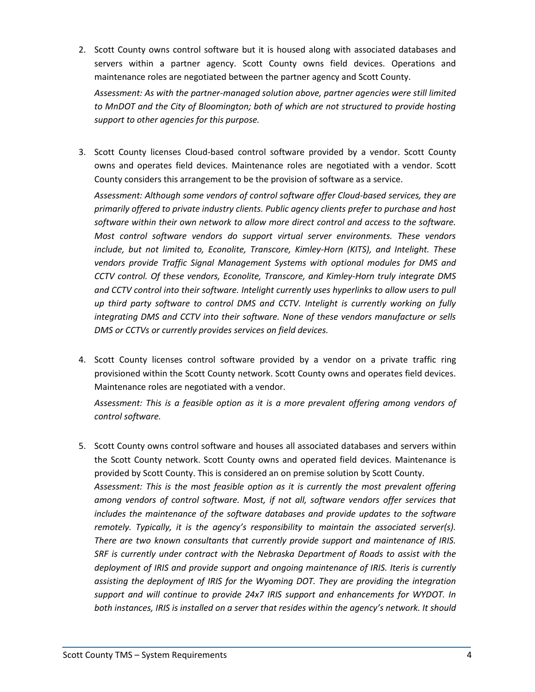2. Scott County owns control software but it is housed along with associated databases and servers within a partner agency. Scott County owns field devices. Operations and maintenance roles are negotiated between the partner agency and Scott County.

*Assessment: As with the partner-managed solution above, partner agencies were still limited to MnDOT and the City of Bloomington; both of which are not structured to provide hosting support to other agencies for this purpose.*

3. Scott County licenses Cloud-based control software provided by a vendor. Scott County owns and operates field devices. Maintenance roles are negotiated with a vendor. Scott County considers this arrangement to be the provision of software as a service.

*Assessment: Although some vendors of control software offer Cloud-based services, they are primarily offered to private industry clients. Public agency clients prefer to purchase and host software within their own network to allow more direct control and access to the software. Most control software vendors do support virtual server environments. These vendors include, but not limited to, Econolite, Transcore, Kimley-Horn (KITS), and Intelight. These vendors provide Traffic Signal Management Systems with optional modules for DMS and CCTV control. Of these vendors, Econolite, Transcore, and Kimley-Horn truly integrate DMS and CCTV control into their software. Intelight currently uses hyperlinks to allow users to pull up third party software to control DMS and CCTV. Intelight is currently working on fully integrating DMS and CCTV into their software. None of these vendors manufacture or sells DMS or CCTVs or currently provides services on field devices.* 

4. Scott County licenses control software provided by a vendor on a private traffic ring provisioned within the Scott County network. Scott County owns and operates field devices. Maintenance roles are negotiated with a vendor.

*Assessment: This is a feasible option as it is a more prevalent offering among vendors of control software.*

5. Scott County owns control software and houses all associated databases and servers within the Scott County network. Scott County owns and operated field devices. Maintenance is provided by Scott County. This is considered an on premise solution by Scott County. *Assessment: This is the most feasible option as it is currently the most prevalent offering among vendors of control software. Most, if not all, software vendors offer services that includes the maintenance of the software databases and provide updates to the software remotely. Typically, it is the agency's responsibility to maintain the associated server(s). There are two known consultants that currently provide support and maintenance of IRIS. SRF is currently under contract with the Nebraska Department of Roads to assist with the deployment of IRIS and provide support and ongoing maintenance of IRIS. Iteris is currently assisting the deployment of IRIS for the Wyoming DOT. They are providing the integration support and will continue to provide 24x7 IRIS support and enhancements for WYDOT. In both instances, IRIS is installed on a server that resides within the agency's network. It should*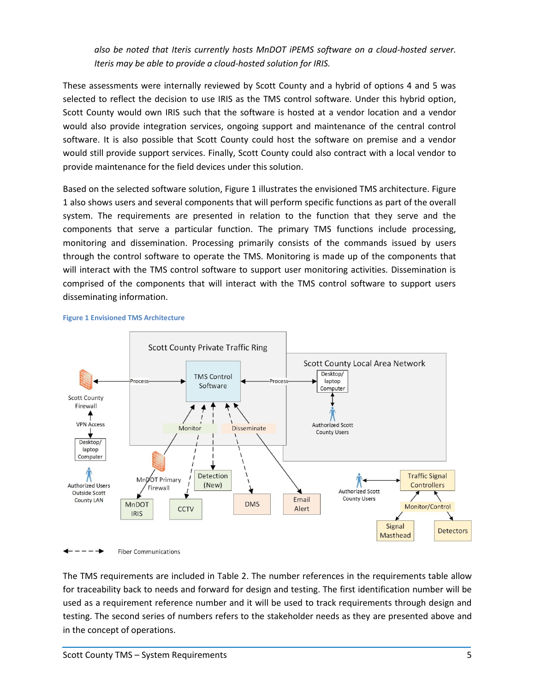*also be noted that Iteris currently hosts MnDOT iPEMS software on a cloud-hosted server. Iteris may be able to provide a cloud-hosted solution for IRIS.*

These assessments were internally reviewed by Scott County and a hybrid of options 4 and 5 was selected to reflect the decision to use IRIS as the TMS control software. Under this hybrid option, Scott County would own IRIS such that the software is hosted at a vendor location and a vendor would also provide integration services, ongoing support and maintenance of the central control software. It is also possible that Scott County could host the software on premise and a vendor would still provide support services. Finally, Scott County could also contract with a local vendor to provide maintenance for the field devices under this solution.

Based on the selected software solution, Figure 1 illustrates the envisioned TMS architecture. Figure 1 also shows users and several components that will perform specific functions as part of the overall system. The requirements are presented in relation to the function that they serve and the components that serve a particular function. The primary TMS functions include processing, monitoring and dissemination. Processing primarily consists of the commands issued by users through the control software to operate the TMS. Monitoring is made up of the components that will interact with the TMS control software to support user monitoring activities. Dissemination is comprised of the components that will interact with the TMS control software to support users disseminating information.



**Figure 1 Envisioned TMS Architecture** 

 $--- \rightarrow$ **Fiber Communications** 

The TMS requirements are included in Table 2. The number references in the requirements table allow for traceability back to needs and forward for design and testing. The first identification number will be used as a requirement reference number and it will be used to track requirements through design and testing. The second series of numbers refers to the stakeholder needs as they are presented above and in the concept of operations.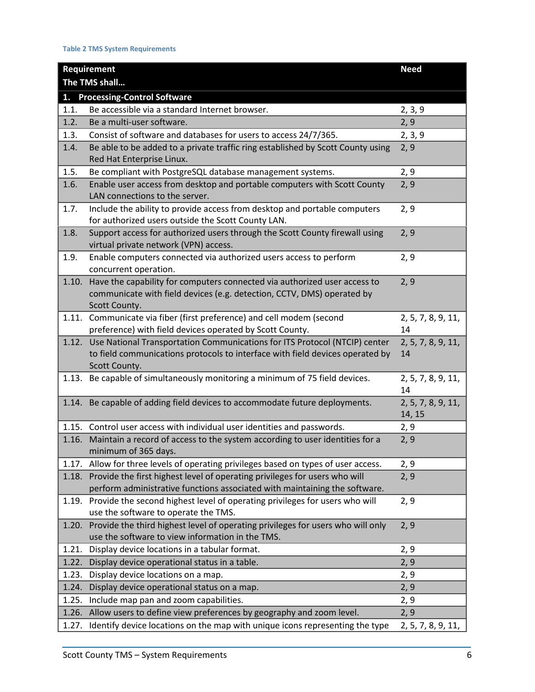#### **Table 2 TMS System Requirements**

| <b>Requirement</b>                       |                                                                                                                                                                              | <b>Need</b>                  |  |
|------------------------------------------|------------------------------------------------------------------------------------------------------------------------------------------------------------------------------|------------------------------|--|
| The TMS shall                            |                                                                                                                                                                              |                              |  |
| <b>Processing-Control Software</b><br>1. |                                                                                                                                                                              |                              |  |
| 1.1.                                     | Be accessible via a standard Internet browser.                                                                                                                               | 2, 3, 9                      |  |
| 1.2.                                     | Be a multi-user software.                                                                                                                                                    | 2, 9                         |  |
| 1.3.                                     | Consist of software and databases for users to access 24/7/365.                                                                                                              | 2, 3, 9                      |  |
| 1.4.                                     | Be able to be added to a private traffic ring established by Scott County using<br>Red Hat Enterprise Linux.                                                                 | 2, 9                         |  |
| 1.5.                                     | Be compliant with PostgreSQL database management systems.                                                                                                                    | 2, 9                         |  |
| 1.6.                                     | Enable user access from desktop and portable computers with Scott County<br>LAN connections to the server.                                                                   | 2, 9                         |  |
| 1.7.                                     | Include the ability to provide access from desktop and portable computers<br>for authorized users outside the Scott County LAN.                                              | 2, 9                         |  |
| 1.8.                                     | Support access for authorized users through the Scott County firewall using<br>virtual private network (VPN) access.                                                         | 2, 9                         |  |
| 1.9.                                     | Enable computers connected via authorized users access to perform<br>concurrent operation.                                                                                   | 2, 9                         |  |
| 1.10.                                    | Have the capability for computers connected via authorized user access to<br>communicate with field devices (e.g. detection, CCTV, DMS) operated by<br>Scott County.         | 2, 9                         |  |
| 1.11.                                    | Communicate via fiber (first preference) and cell modem (second                                                                                                              | 2, 5, 7, 8, 9, 11,           |  |
|                                          | preference) with field devices operated by Scott County.                                                                                                                     | 14                           |  |
| 1.12.                                    | Use National Transportation Communications for ITS Protocol (NTCIP) center<br>to field communications protocols to interface with field devices operated by<br>Scott County. | 2, 5, 7, 8, 9, 11,<br>14     |  |
|                                          | 1.13. Be capable of simultaneously monitoring a minimum of 75 field devices.                                                                                                 | 2, 5, 7, 8, 9, 11,<br>14     |  |
| 1.14.                                    | Be capable of adding field devices to accommodate future deployments.                                                                                                        | 2, 5, 7, 8, 9, 11,<br>14, 15 |  |
|                                          | 1.15. Control user access with individual user identities and passwords.                                                                                                     | 2, 9                         |  |
| 1.16.                                    | Maintain a record of access to the system according to user identities for a<br>minimum of 365 days.                                                                         | 2, 9                         |  |
|                                          | 1.17. Allow for three levels of operating privileges based on types of user access.                                                                                          | 2, 9                         |  |
| 1.18.                                    | Provide the first highest level of operating privileges for users who will                                                                                                   | 2, 9                         |  |
|                                          | perform administrative functions associated with maintaining the software.                                                                                                   |                              |  |
| 1.19.                                    | Provide the second highest level of operating privileges for users who will<br>use the software to operate the TMS.                                                          | 2, 9                         |  |
| 1.20.                                    | Provide the third highest level of operating privileges for users who will only<br>use the software to view information in the TMS.                                          | 2, 9                         |  |
| 1.21.                                    | Display device locations in a tabular format.                                                                                                                                | 2, 9                         |  |
| 1.22.                                    | Display device operational status in a table.                                                                                                                                | 2, 9                         |  |
| 1.23.                                    | Display device locations on a map.                                                                                                                                           | 2, 9                         |  |
| 1.24.                                    | Display device operational status on a map.                                                                                                                                  | 2, 9                         |  |
| 1.25.                                    | Include map pan and zoom capabilities.                                                                                                                                       | 2, 9                         |  |
| 1.26.                                    | Allow users to define view preferences by geography and zoom level.                                                                                                          | 2, 9                         |  |
| 1.27.                                    | Identify device locations on the map with unique icons representing the type                                                                                                 | 2, 5, 7, 8, 9, 11,           |  |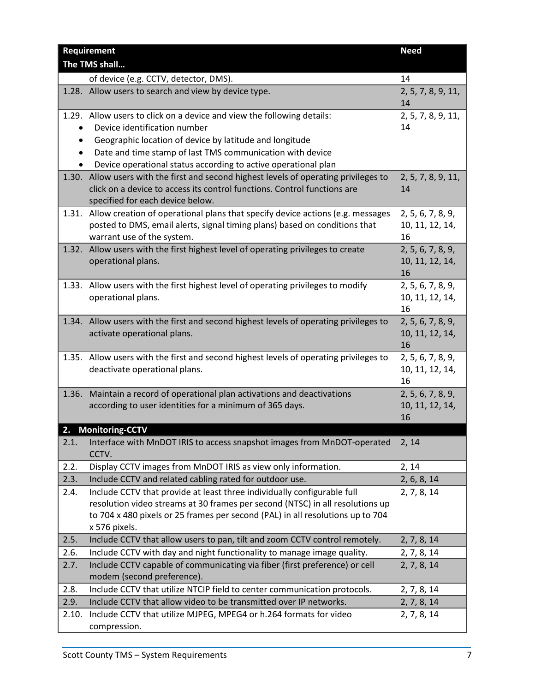| Requirement   |                                                                                                                                                                 | <b>Need</b>                          |
|---------------|-----------------------------------------------------------------------------------------------------------------------------------------------------------------|--------------------------------------|
| The TMS shall |                                                                                                                                                                 |                                      |
|               | of device (e.g. CCTV, detector, DMS).                                                                                                                           | 14                                   |
|               | 1.28. Allow users to search and view by device type.                                                                                                            | 2, 5, 7, 8, 9, 11,<br>14             |
|               | 1.29. Allow users to click on a device and view the following details:                                                                                          | 2, 5, 7, 8, 9, 11,                   |
|               | Device identification number                                                                                                                                    | 14                                   |
| $\bullet$     | Geographic location of device by latitude and longitude                                                                                                         |                                      |
|               | Date and time stamp of last TMS communication with device                                                                                                       |                                      |
| 1.30.         | Device operational status according to active operational plan<br>Allow users with the first and second highest levels of operating privileges to               | 2, 5, 7, 8, 9, 11,                   |
|               | click on a device to access its control functions. Control functions are                                                                                        | 14                                   |
|               | specified for each device below.                                                                                                                                |                                      |
| 1.31.         | Allow creation of operational plans that specify device actions (e.g. messages                                                                                  | 2, 5, 6, 7, 8, 9,                    |
|               | posted to DMS, email alerts, signal timing plans) based on conditions that                                                                                      | 10, 11, 12, 14,                      |
|               | warrant use of the system.                                                                                                                                      | 16                                   |
| 1.32.         | Allow users with the first highest level of operating privileges to create                                                                                      | 2, 5, 6, 7, 8, 9,                    |
|               | operational plans.                                                                                                                                              | 10, 11, 12, 14,                      |
|               |                                                                                                                                                                 | 16                                   |
|               | 1.33. Allow users with the first highest level of operating privileges to modify<br>operational plans.                                                          | 2, 5, 6, 7, 8, 9,<br>10, 11, 12, 14, |
|               |                                                                                                                                                                 | 16                                   |
|               | 1.34. Allow users with the first and second highest levels of operating privileges to                                                                           | 2, 5, 6, 7, 8, 9,                    |
|               | activate operational plans.                                                                                                                                     | 10, 11, 12, 14,                      |
|               |                                                                                                                                                                 | 16                                   |
|               | 1.35. Allow users with the first and second highest levels of operating privileges to                                                                           | 2, 5, 6, 7, 8, 9,                    |
|               | deactivate operational plans.                                                                                                                                   | 10, 11, 12, 14,                      |
| 1.36.         | Maintain a record of operational plan activations and deactivations                                                                                             | 16<br>2, 5, 6, 7, 8, 9,              |
|               | according to user identities for a minimum of 365 days.                                                                                                         | 10, 11, 12, 14,                      |
|               |                                                                                                                                                                 | 16                                   |
|               | <b>Monitoring-CCTV</b>                                                                                                                                          |                                      |
| 2.1.          | Interface with MnDOT IRIS to access snapshot images from MnDOT-operated                                                                                         | 2, 14                                |
|               | CCTV.                                                                                                                                                           |                                      |
| 2.2.          | Display CCTV images from MnDOT IRIS as view only information.                                                                                                   | 2, 14                                |
| 2.3.          | Include CCTV and related cabling rated for outdoor use.                                                                                                         | 2, 6, 8, 14                          |
| 2.4.          | Include CCTV that provide at least three individually configurable full                                                                                         | 2, 7, 8, 14                          |
|               | resolution video streams at 30 frames per second (NTSC) in all resolutions up<br>to 704 x 480 pixels or 25 frames per second (PAL) in all resolutions up to 704 |                                      |
|               | x 576 pixels.                                                                                                                                                   |                                      |
| 2.5.          | Include CCTV that allow users to pan, tilt and zoom CCTV control remotely.                                                                                      | 2, 7, 8, 14                          |
| 2.6.          | Include CCTV with day and night functionality to manage image quality.                                                                                          | 2, 7, 8, 14                          |
| 2.7.          | Include CCTV capable of communicating via fiber (first preference) or cell                                                                                      | 2, 7, 8, 14                          |
|               | modem (second preference).                                                                                                                                      |                                      |
| 2.8.          | Include CCTV that utilize NTCIP field to center communication protocols.                                                                                        | 2, 7, 8, 14                          |
| 2.9.          | Include CCTV that allow video to be transmitted over IP networks.                                                                                               | 2, 7, 8, 14                          |
| 2.10.         | Include CCTV that utilize MJPEG, MPEG4 or h.264 formats for video                                                                                               | 2, 7, 8, 14                          |
|               | compression.                                                                                                                                                    |                                      |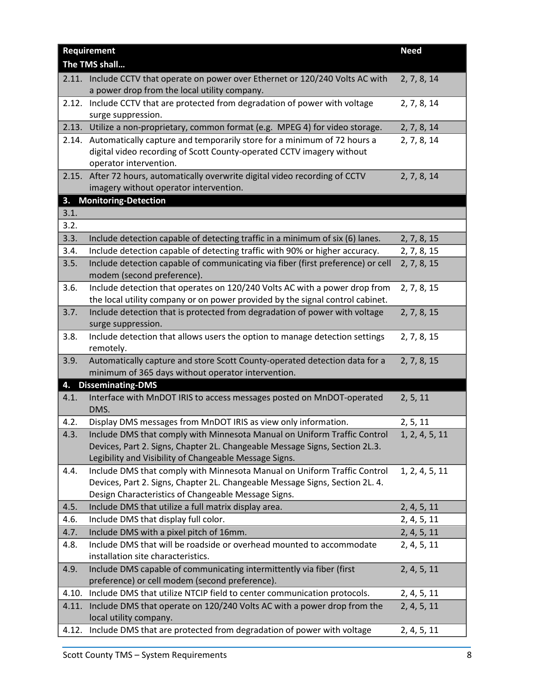| Requirement   |                                                                                                                                                                                                                   | <b>Need</b>    |  |
|---------------|-------------------------------------------------------------------------------------------------------------------------------------------------------------------------------------------------------------------|----------------|--|
| The TMS shall |                                                                                                                                                                                                                   |                |  |
|               | 2.11. Include CCTV that operate on power over Ethernet or 120/240 Volts AC with<br>a power drop from the local utility company.                                                                                   | 2, 7, 8, 14    |  |
| 2.12.         | Include CCTV that are protected from degradation of power with voltage<br>surge suppression.                                                                                                                      | 2, 7, 8, 14    |  |
| 2.13.         | Utilize a non-proprietary, common format (e.g. MPEG 4) for video storage.                                                                                                                                         | 2, 7, 8, 14    |  |
|               | 2.14. Automatically capture and temporarily store for a minimum of 72 hours a<br>digital video recording of Scott County-operated CCTV imagery without<br>operator intervention.                                  | 2, 7, 8, 14    |  |
| 2.15.         | After 72 hours, automatically overwrite digital video recording of CCTV<br>imagery without operator intervention.                                                                                                 | 2, 7, 8, 14    |  |
| 3.            | <b>Monitoring-Detection</b>                                                                                                                                                                                       |                |  |
| 3.1.          |                                                                                                                                                                                                                   |                |  |
| 3.2.          |                                                                                                                                                                                                                   |                |  |
| 3.3.          | Include detection capable of detecting traffic in a minimum of six (6) lanes.                                                                                                                                     | 2, 7, 8, 15    |  |
| 3.4.          | Include detection capable of detecting traffic with 90% or higher accuracy.                                                                                                                                       | 2, 7, 8, 15    |  |
| 3.5.          | Include detection capable of communicating via fiber (first preference) or cell<br>modem (second preference).                                                                                                     | 2, 7, 8, 15    |  |
| 3.6.          | Include detection that operates on 120/240 Volts AC with a power drop from<br>the local utility company or on power provided by the signal control cabinet.                                                       | 2, 7, 8, 15    |  |
| 3.7.          | Include detection that is protected from degradation of power with voltage<br>surge suppression.                                                                                                                  | 2, 7, 8, 15    |  |
| 3.8.          | Include detection that allows users the option to manage detection settings<br>remotely.                                                                                                                          | 2, 7, 8, 15    |  |
| 3.9.          | Automatically capture and store Scott County-operated detection data for a<br>minimum of 365 days without operator intervention.                                                                                  | 2, 7, 8, 15    |  |
| 4.            | <b>Disseminating-DMS</b>                                                                                                                                                                                          |                |  |
| 4.1.          | Interface with MnDOT IRIS to access messages posted on MnDOT-operated<br>DMS.                                                                                                                                     | 2, 5, 11       |  |
| 4.2.          | Display DMS messages from MnDOT IRIS as view only information.                                                                                                                                                    | 2, 5, 11       |  |
| 4.3.          | Include DMS that comply with Minnesota Manual on Uniform Traffic Control<br>Devices, Part 2. Signs, Chapter 2L. Changeable Message Signs, Section 2L.3.<br>Legibility and Visibility of Changeable Message Signs. | 1, 2, 4, 5, 11 |  |
| 4.4.          | Include DMS that comply with Minnesota Manual on Uniform Traffic Control<br>Devices, Part 2. Signs, Chapter 2L. Changeable Message Signs, Section 2L. 4.<br>Design Characteristics of Changeable Message Signs.   | 1, 2, 4, 5, 11 |  |
| 4.5.          | Include DMS that utilize a full matrix display area.                                                                                                                                                              | 2, 4, 5, 11    |  |
| 4.6.          | Include DMS that display full color.                                                                                                                                                                              | 2, 4, 5, 11    |  |
| 4.7.          | Include DMS with a pixel pitch of 16mm.                                                                                                                                                                           | 2, 4, 5, 11    |  |
| 4.8.          | Include DMS that will be roadside or overhead mounted to accommodate<br>installation site characteristics.                                                                                                        | 2, 4, 5, 11    |  |
| 4.9.          | Include DMS capable of communicating intermittently via fiber (first<br>preference) or cell modem (second preference).                                                                                            | 2, 4, 5, 11    |  |
| 4.10.         | Include DMS that utilize NTCIP field to center communication protocols.                                                                                                                                           | 2, 4, 5, 11    |  |
| 4.11.         | Include DMS that operate on 120/240 Volts AC with a power drop from the<br>local utility company.                                                                                                                 | 2, 4, 5, 11    |  |
| 4.12.         | Include DMS that are protected from degradation of power with voltage                                                                                                                                             | 2, 4, 5, 11    |  |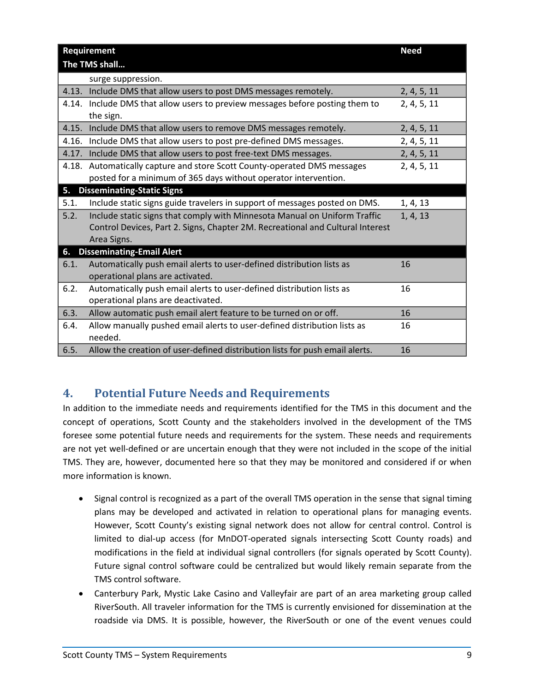| <b>Requirement</b>                      | <b>Need</b>                                                                    |             |
|-----------------------------------------|--------------------------------------------------------------------------------|-------------|
| The TMS shall                           |                                                                                |             |
|                                         | surge suppression.                                                             |             |
| 4.13.                                   | Include DMS that allow users to post DMS messages remotely.                    | 2, 4, 5, 11 |
|                                         | 4.14. Include DMS that allow users to preview messages before posting them to  | 2, 4, 5, 11 |
|                                         | the sign.                                                                      |             |
| 4.15.                                   | Include DMS that allow users to remove DMS messages remotely.                  | 2, 4, 5, 11 |
| 4.16.                                   | Include DMS that allow users to post pre-defined DMS messages.                 | 2, 4, 5, 11 |
| 4.17.                                   | Include DMS that allow users to post free-text DMS messages.                   | 2, 4, 5, 11 |
| 4.18.                                   | Automatically capture and store Scott County-operated DMS messages             | 2, 4, 5, 11 |
|                                         | posted for a minimum of 365 days without operator intervention.                |             |
| <b>Disseminating-Static Signs</b><br>5. |                                                                                |             |
| 5.1.                                    | Include static signs guide travelers in support of messages posted on DMS.     | 1, 4, 13    |
| 5.2.                                    | Include static signs that comply with Minnesota Manual on Uniform Traffic      | 1, 4, 13    |
|                                         | Control Devices, Part 2. Signs, Chapter 2M. Recreational and Cultural Interest |             |
|                                         | Area Signs.                                                                    |             |
| 6.                                      | <b>Disseminating-Email Alert</b>                                               |             |
| 6.1.                                    | Automatically push email alerts to user-defined distribution lists as          | 16          |
|                                         | operational plans are activated.                                               |             |
| 6.2.                                    | Automatically push email alerts to user-defined distribution lists as          | 16          |
|                                         | operational plans are deactivated.                                             |             |
| 6.3.                                    | Allow automatic push email alert feature to be turned on or off.               | 16          |
| 6.4.                                    | Allow manually pushed email alerts to user-defined distribution lists as       | 16          |
|                                         | needed.                                                                        |             |
| 6.5.                                    | Allow the creation of user-defined distribution lists for push email alerts.   | 16          |

## <span id="page-10-0"></span>**4. Potential Future Needs and Requirements**

In addition to the immediate needs and requirements identified for the TMS in this document and the concept of operations, Scott County and the stakeholders involved in the development of the TMS foresee some potential future needs and requirements for the system. These needs and requirements are not yet well-defined or are uncertain enough that they were not included in the scope of the initial TMS. They are, however, documented here so that they may be monitored and considered if or when more information is known.

- Signal control is recognized as a part of the overall TMS operation in the sense that signal timing plans may be developed and activated in relation to operational plans for managing events. However, Scott County's existing signal network does not allow for central control. Control is limited to dial-up access (for MnDOT-operated signals intersecting Scott County roads) and modifications in the field at individual signal controllers (for signals operated by Scott County). Future signal control software could be centralized but would likely remain separate from the TMS control software.
- Canterbury Park, Mystic Lake Casino and Valleyfair are part of an area marketing group called RiverSouth. All traveler information for the TMS is currently envisioned for dissemination at the roadside via DMS. It is possible, however, the RiverSouth or one of the event venues could